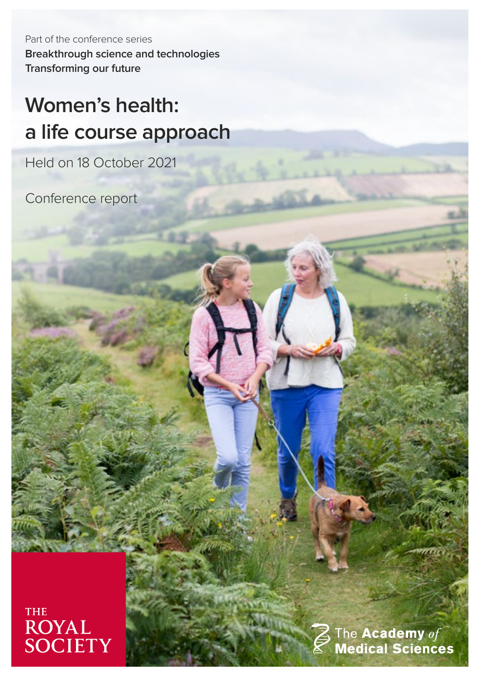Part of the conference series **Breakthrough science and technologies Transforming our future**

# **Women's health: a life course approach**

Held on 18 October 2021

Conference report



The Academy of<br>Medical Sciences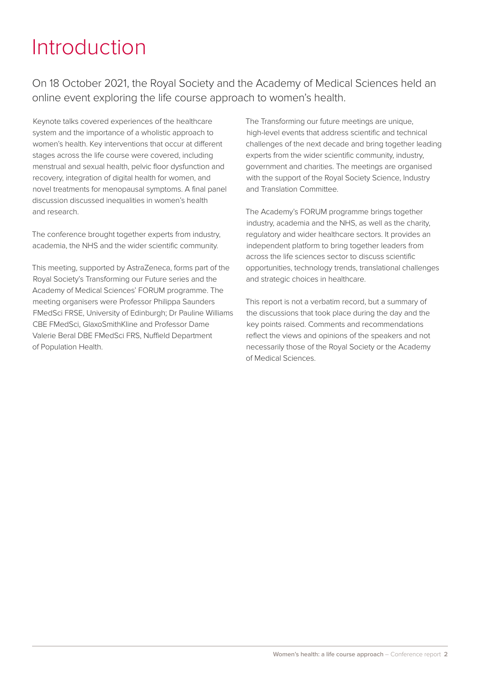### Introduction

On 18 October 2021, the Royal Society and the Academy of Medical Sciences held an online event exploring the life course approach to women's health.

Keynote talks covered experiences of the healthcare system and the importance of a wholistic approach to women's health. Key interventions that occur at different stages across the life course were covered, including menstrual and sexual health, pelvic floor dysfunction and recovery, integration of digital health for women, and novel treatments for menopausal symptoms. A final panel discussion discussed inequalities in women's health and research.

The conference brought together experts from industry, academia, the NHS and the wider scientific community.

This meeting, supported by AstraZeneca, forms part of the Royal Society's Transforming our Future series and the Academy of Medical Sciences' FORUM programme. The meeting organisers were Professor Philippa Saunders FMedSci FRSE, University of Edinburgh; Dr Pauline Williams CBE FMedSci, GlaxoSmithKline and Professor Dame Valerie Beral DBE FMedSci FRS, Nuffield Department of Population Health.

The Transforming our future meetings are unique, high-level events that address scientific and technical challenges of the next decade and bring together leading experts from the wider scientific community, industry, government and charities. The meetings are organised with the support of the Royal Society Science, Industry and Translation Committee.

The Academy's FORUM programme brings together industry, academia and the NHS, as well as the charity, regulatory and wider healthcare sectors. It provides an independent platform to bring together leaders from across the life sciences sector to discuss scientific opportunities, technology trends, translational challenges and strategic choices in healthcare.

This report is not a verbatim record, but a summary of the discussions that took place during the day and the key points raised. Comments and recommendations reflect the views and opinions of the speakers and not necessarily those of the Royal Society or the Academy of Medical Sciences.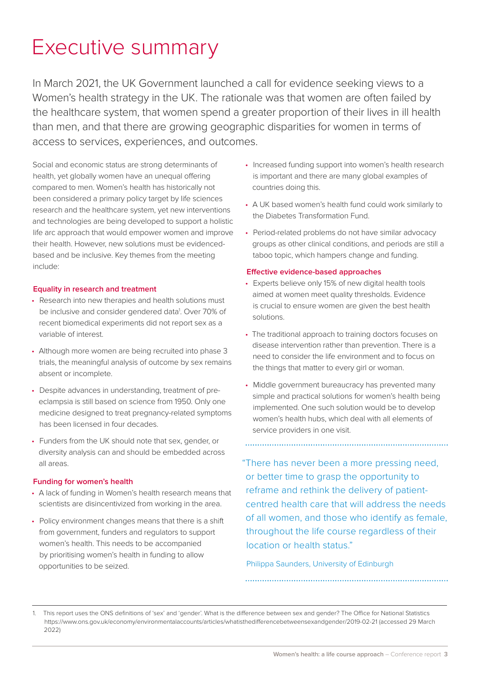### Executive summary

In March 2021, the UK Government launched a call for evidence seeking views to a Women's health strategy in the UK. The rationale was that women are often failed by the healthcare system, that women spend a greater proportion of their lives in ill health than men, and that there are growing geographic disparities for women in terms of access to services, experiences, and outcomes.

Social and economic status are strong determinants of health, yet globally women have an unequal offering compared to men. Women's health has historically not been considered a primary policy target by life sciences research and the healthcare system, yet new interventions and technologies are being developed to support a holistic life arc approach that would empower women and improve their health. However, new solutions must be evidencedbased and be inclusive. Key themes from the meeting include:

### **Equality in research and treatment**

- Research into new therapies and health solutions must be inclusive and consider gendered data<sup>1</sup>. Over 70% of recent biomedical experiments did not report sex as a variable of interest.
- Although more women are being recruited into phase 3 trials, the meaningful analysis of outcome by sex remains absent or incomplete.
- Despite advances in understanding, treatment of preeclampsia is still based on science from 1950. Only one medicine designed to treat pregnancy-related symptoms has been licensed in four decades.
- Funders from the UK should note that sex, gender, or diversity analysis can and should be embedded across all areas.

### **Funding for women's health**

- A lack of funding in Women's health research means that scientists are disincentivized from working in the area.
- Policy environment changes means that there is a shift from government, funders and regulators to support women's health. This needs to be accompanied by prioritising women's health in funding to allow opportunities to be seized.
- Increased funding support into women's health research is important and there are many global examples of countries doing this.
- A UK based women's health fund could work similarly to the Diabetes Transformation Fund.
- Period-related problems do not have similar advocacy groups as other clinical conditions, and periods are still a taboo topic, which hampers change and funding.

#### **Effective evidence-based approaches**

- Experts believe only 15% of new digital health tools aimed at women meet quality thresholds. Evidence is crucial to ensure women are given the best health solutions.
- The traditional approach to training doctors focuses on disease intervention rather than prevention. There is a need to consider the life environment and to focus on the things that matter to every girl or woman.
- Middle government bureaucracy has prevented many simple and practical solutions for women's health being implemented. One such solution would be to develop women's health hubs, which deal with all elements of service providers in one visit.

"There has never been a more pressing need, or better time to grasp the opportunity to reframe and rethink the delivery of patientcentred health care that will address the needs of all women, and those who identify as female, throughout the life course regardless of their location or health status."

Philippa Saunders, University of Edinburgh

1. This report uses the ONS definitions of 'sex' and 'gender'. What is the difference between sex and gender? The Office for National Statistics https://www.ons.gov.uk/economy/environmentalaccounts/articles/whatisthedifferencebetweensexandgender/2019-02-21 (accessed 29 March 2022)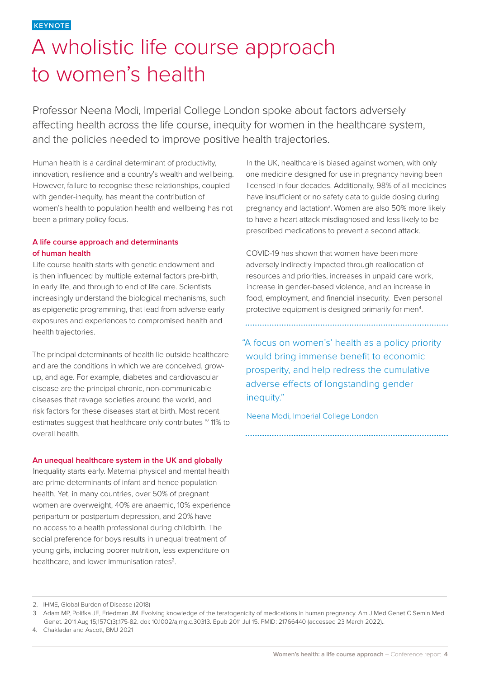### A wholistic life course approach to women's health

Professor Neena Modi, Imperial College London spoke about factors adversely affecting health across the life course, inequity for women in the healthcare system, and the policies needed to improve positive health trajectories.

Human health is a cardinal determinant of productivity, innovation, resilience and a country's wealth and wellbeing. However, failure to recognise these relationships, coupled with gender-inequity, has meant the contribution of women's health to population health and wellbeing has not been a primary policy focus.

### **A life course approach and determinants of human health**

Life course health starts with genetic endowment and is then influenced by multiple external factors pre-birth, in early life, and through to end of life care. Scientists increasingly understand the biological mechanisms, such as epigenetic programming, that lead from adverse early exposures and experiences to compromised health and health trajectories.

The principal determinants of health lie outside healthcare and are the conditions in which we are conceived, growup, and age. For example, diabetes and cardiovascular disease are the principal chronic, non-communicable diseases that ravage societies around the world, and risk factors for these diseases start at birth. Most recent estimates suggest that healthcare only contributes  $\sim$  11% to overall health.

### **An unequal healthcare system in the UK and globally**

Inequality starts early. Maternal physical and mental health are prime determinants of infant and hence population health. Yet, in many countries, over 50% of pregnant women are overweight, 40% are anaemic, 10% experience peripartum or postpartum depression, and 20% have no access to a health professional during childbirth. The social preference for boys results in unequal treatment of young girls, including poorer nutrition, less expenditure on healthcare, and lower immunisation rates<sup>2</sup>.

In the UK, healthcare is biased against women, with only one medicine designed for use in pregnancy having been licensed in four decades. Additionally, 98% of all medicines have insufficient or no safety data to guide dosing during pregnancy and lactation<sup>3</sup>. Women are also 50% more likely to have a heart attack misdiagnosed and less likely to be prescribed medications to prevent a second attack.

COVID-19 has shown that women have been more adversely indirectly impacted through reallocation of resources and priorities, increases in unpaid care work, increase in gender-based violence, and an increase in food, employment, and financial insecurity. Even personal protective equipment is designed primarily for men<sup>4</sup>.

"A focus on women's' health as a policy priority would bring immense benefit to economic prosperity, and help redress the cumulative adverse effects of longstanding gender inequity."

Neena Modi, Imperial College London

<sup>2.</sup> IHME, Global Burden of Disease (2018)

<sup>3.</sup> Adam MP, Polifka JE, Friedman JM. Evolving knowledge of the teratogenicity of medications in human pregnancy. Am J Med Genet C Semin Med

Genet. 2011 Aug 15;157C(3):175-82. doi: 10.1002/ajmg.c.30313. Epub 2011 Jul 15. PMID: 21766440 (accessed 23 March 2022)..

<sup>4.</sup> Chakladar and Ascott, BMJ 2021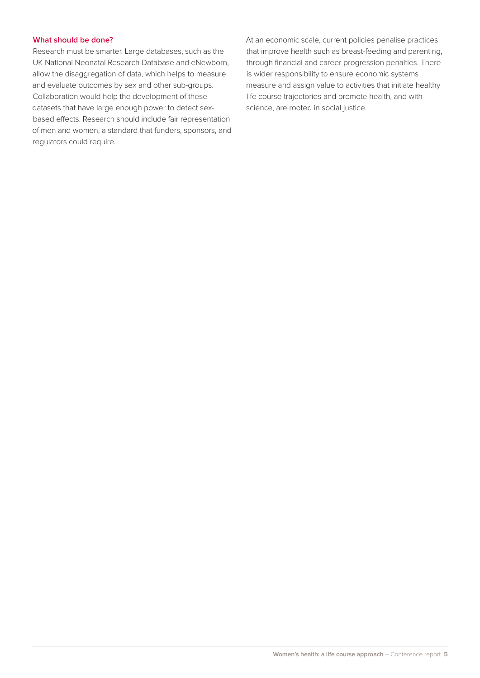### **What should be done?**

Research must be smarter. Large databases, such as the UK National Neonatal Research Database and eNewborn, allow the disaggregation of data, which helps to measure and evaluate outcomes by sex and other sub-groups. Collaboration would help the development of these datasets that have large enough power to detect sexbased effects. Research should include fair representation of men and women, a standard that funders, sponsors, and regulators could require.

At an economic scale, current policies penalise practices that improve health such as breast-feeding and parenting, through financial and career progression penalties. There is wider responsibility to ensure economic systems measure and assign value to activities that initiate healthy life course trajectories and promote health, and with science, are rooted in social justice.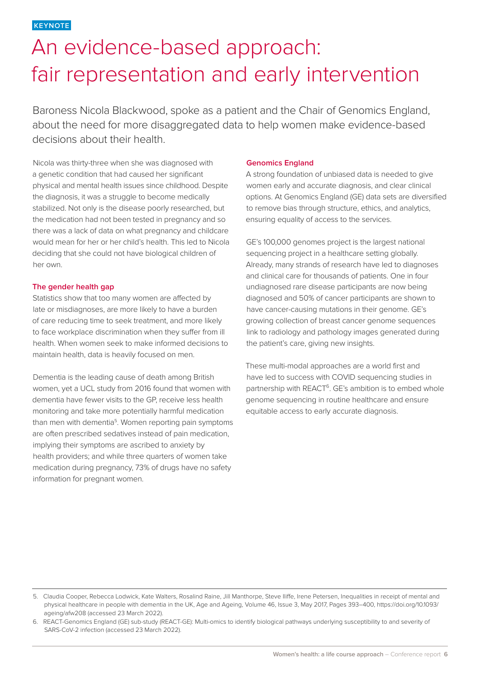**KEYNOTE**

### An evidence-based approach: fair representation and early intervention

Baroness Nicola Blackwood, spoke as a patient and the Chair of Genomics England, about the need for more disaggregated data to help women make evidence-based decisions about their health.

Nicola was thirty-three when she was diagnosed with a genetic condition that had caused her significant physical and mental health issues since childhood. Despite the diagnosis, it was a struggle to become medically stabilized. Not only is the disease poorly researched, but the medication had not been tested in pregnancy and so there was a lack of data on what pregnancy and childcare would mean for her or her child's health. This led to Nicola deciding that she could not have biological children of her own.

### **The gender health gap**

Statistics show that too many women are affected by late or misdiagnoses, are more likely to have a burden of care reducing time to seek treatment, and more likely to face workplace discrimination when they suffer from ill health. When women seek to make informed decisions to maintain health, data is heavily focused on men.

Dementia is the leading cause of death among British women, yet a UCL study from 2016 found that women with dementia have fewer visits to the GP, receive less health monitoring and take more potentially harmful medication than men with dementia<sup>5</sup>. Women reporting pain symptoms are often prescribed sedatives instead of pain medication, implying their symptoms are ascribed to anxiety by health providers; and while three quarters of women take medication during pregnancy, 73% of drugs have no safety information for pregnant women.

#### **Genomics England**

A strong foundation of unbiased data is needed to give women early and accurate diagnosis, and clear clinical options. At Genomics England (GE) data sets are diversified to remove bias through structure, ethics, and analytics, ensuring equality of access to the services.

GE's 100,000 genomes project is the largest national sequencing project in a healthcare setting globally. Already, many strands of research have led to diagnoses and clinical care for thousands of patients. One in four undiagnosed rare disease participants are now being diagnosed and 50% of cancer participants are shown to have cancer-causing mutations in their genome. GE's growing collection of breast cancer genome sequences link to radiology and pathology images generated during the patient's care, giving new insights.

These multi-modal approaches are a world first and have led to success with COVID sequencing studies in partnership with REACT<sup>6</sup>. GE's ambition is to embed whole genome sequencing in routine healthcare and ensure equitable access to early accurate diagnosis.

<sup>5.</sup> Claudia Cooper, Rebecca Lodwick, Kate Walters, Rosalind Raine, Jill Manthorpe, Steve Iliffe, Irene Petersen, Inequalities in receipt of mental and physical healthcare in people with dementia in the UK, Age and Ageing, Volume 46, Issue 3, May 2017, Pages 393–400, https://doi.org/10.1093/ ageing/afw208 (accessed 23 March 2022).

<sup>6.</sup> REACT-Genomics England (GE) sub-study (REACT-GE): Multi-omics to identify biological pathways underlying susceptibility to and severity of SARS-CoV-2 infection (accessed 23 March 2022).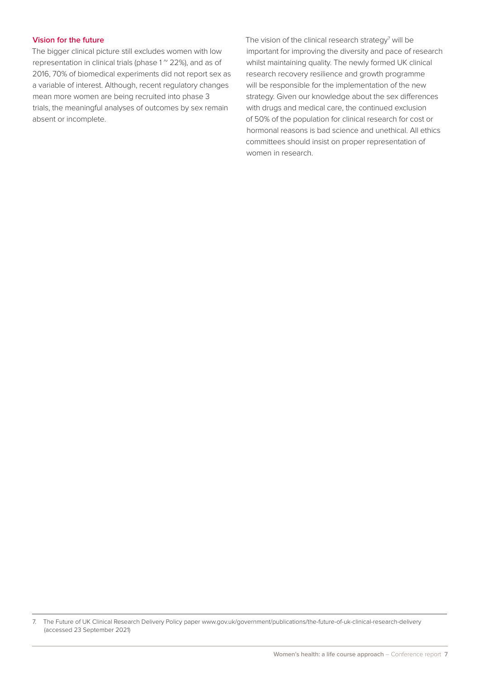### **Vision for the future**

The bigger clinical picture still excludes women with low representation in clinical trials (phase  $1^{\circ}$  22%), and as of 2016, 70% of biomedical experiments did not report sex as a variable of interest. Although, recent regulatory changes mean more women are being recruited into phase 3 trials, the meaningful analyses of outcomes by sex remain absent or incomplete.

The vision of the clinical research strategy<sup>7</sup> will be important for improving the diversity and pace of research whilst maintaining quality. The newly formed UK clinical research recovery resilience and growth programme will be responsible for the implementation of the new strategy. Given our knowledge about the sex differences with drugs and medical care, the continued exclusion of 50% of the population for clinical research for cost or hormonal reasons is bad science and unethical. All ethics committees should insist on proper representation of women in research.

<sup>7.</sup> The Future of UK Clinical Research Delivery Policy paper www.gov.uk/government/publications/the-future-of-uk-clinical-research-delivery (accessed 23 September 2021)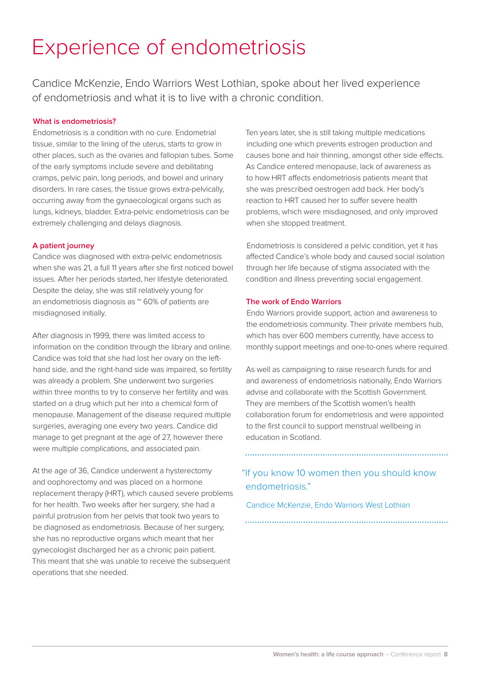## Experience of endometriosis

Candice McKenzie, Endo Warriors West Lothian, spoke about her lived experience of endometriosis and what it is to live with a chronic condition.

### **What is endometriosis?**

Endometriosis is a condition with no cure. Endometrial tissue, similar to the lining of the uterus, starts to grow in other places, such as the ovaries and fallopian tubes. Some of the early symptoms include severe and debilitating cramps, pelvic pain, long periods, and bowel and urinary disorders. In rare cases, the tissue grows extra-pelvically, occurring away from the gynaecological organs such as lungs, kidneys, bladder. Extra-pelvic endometriosis can be extremely challenging and delays diagnosis.

### **A patient journey**

Candice was diagnosed with extra-pelvic endometriosis when she was 21, a full 11 years after she first noticed bowel issues. After her periods started, her lifestyle deteriorated. Despite the delay, she was still relatively young for an endometriosis diagnosis as  $\degree$  60% of patients are misdiagnosed initially.

After diagnosis in 1999, there was limited access to information on the condition through the library and online. Candice was told that she had lost her ovary on the lefthand side, and the right-hand side was impaired, so fertility was already a problem. She underwent two surgeries within three months to try to conserve her fertility and was started on a drug which put her into a chemical form of menopause. Management of the disease required multiple surgeries, averaging one every two years. Candice did manage to get pregnant at the age of 27, however there were multiple complications, and associated pain.

At the age of 36, Candice underwent a hysterectomy and oophorectomy and was placed on a hormone replacement therapy (HRT), which caused severe problems for her health. Two weeks after her surgery, she had a painful protrusion from her pelvis that took two years to be diagnosed as endometriosis. Because of her surgery, she has no reproductive organs which meant that her gynecologist discharged her as a chronic pain patient. This meant that she was unable to receive the subsequent operations that she needed.

Ten years later, she is still taking multiple medications including one which prevents estrogen production and causes bone and hair thinning, amongst other side effects. As Candice entered menopause, lack of awareness as to how HRT affects endometriosis patients meant that she was prescribed oestrogen add back. Her body's reaction to HRT caused her to suffer severe health problems, which were misdiagnosed, and only improved when she stopped treatment.

Endometriosis is considered a pelvic condition, yet it has affected Candice's whole body and caused social isolation through her life because of stigma associated with the condition and illness preventing social engagement.

### **The work of Endo Warriors**

Endo Warriors provide support, action and awareness to the endometriosis community. Their private members hub, which has over 600 members currently, have access to monthly support meetings and one-to-ones where required.

As well as campaigning to raise research funds for and and awareness of endometriosis nationally, Endo Warriors advise and collaborate with the Scottish Government. They are members of the Scottish women's health collaboration forum for endometriosis and were appointed to the first council to support menstrual wellbeing in education in Scotland.

"If you know 10 women then you should know endometriosis."

Candice McKenzie, Endo Warriors West Lothian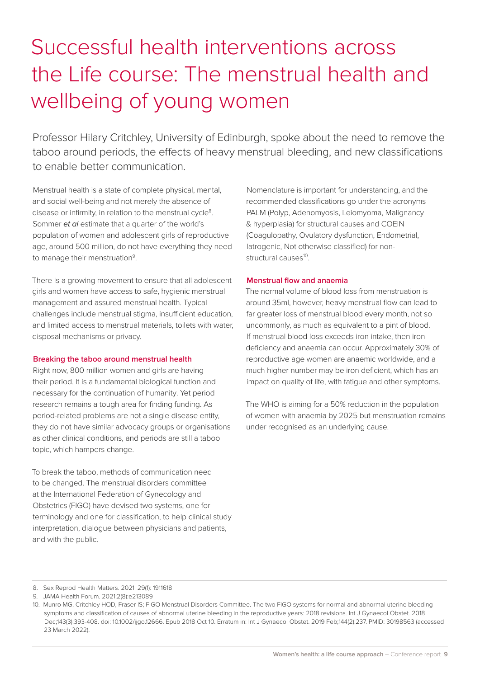# Successful health interventions across the Life course: The menstrual health and wellbeing of young women

Professor Hilary Critchley, University of Edinburgh, spoke about the need to remove the taboo around periods, the effects of heavy menstrual bleeding, and new classifications to enable better communication.

Menstrual health is a state of complete physical, mental, and social well-being and not merely the absence of disease or infirmity, in relation to the menstrual cycle<sup>8</sup>. Sommer et al estimate that a quarter of the world's population of women and adolescent girls of reproductive age, around 500 million, do not have everything they need to manage their menstruation<sup>9</sup>.

There is a growing movement to ensure that all adolescent girls and women have access to safe, hygienic menstrual management and assured menstrual health. Typical challenges include menstrual stigma, insufficient education, and limited access to menstrual materials, toilets with water, disposal mechanisms or privacy.

### **Breaking the taboo around menstrual health**

Right now, 800 million women and girls are having their period. It is a fundamental biological function and necessary for the continuation of humanity. Yet period research remains a tough area for finding funding. As period-related problems are not a single disease entity, they do not have similar advocacy groups or organisations as other clinical conditions, and periods are still a taboo topic, which hampers change.

To break the taboo, methods of communication need to be changed. The menstrual disorders committee at the International Federation of Gynecology and Obstetrics (FIGO) have devised two systems, one for terminology and one for classification, to help clinical study interpretation, dialogue between physicians and patients, and with the public.

Nomenclature is important for understanding, and the recommended classifications go under the acronyms PALM (Polyp, Adenomyosis, Leiomyoma, Malignancy & hyperplasia) for structural causes and COEIN (Coagulopathy, Ovulatory dysfunction, Endometrial, Iatrogenic, Not otherwise classified) for non $structural causes<sup>10</sup>$ .

### **Menstrual flow and anaemia**

The normal volume of blood loss from menstruation is around 35ml, however, heavy menstrual flow can lead to far greater loss of menstrual blood every month, not so uncommonly, as much as equivalent to a pint of blood. If menstrual blood loss exceeds iron intake, then iron deficiency and anaemia can occur. Approximately 30% of reproductive age women are anaemic worldwide, and a much higher number may be iron deficient, which has an impact on quality of life, with fatigue and other symptoms.

The WHO is aiming for a 50% reduction in the population of women with anaemia by 2025 but menstruation remains under recognised as an underlying cause.

<sup>8.</sup> Sex Reprod Health Matters. 2021l 29(1): 1911618

<sup>9.</sup> JAMA Health Forum. 2021;2(8):e213089

<sup>10.</sup> Munro MG, Critchley HOD, Fraser IS; FIGO Menstrual Disorders Committee. The two FIGO systems for normal and abnormal uterine bleeding symptoms and classification of causes of abnormal uterine bleeding in the reproductive years: 2018 revisions. Int J Gynaecol Obstet. 2018 Dec;143(3):393-408. doi: 10.1002/ijgo.12666. Epub 2018 Oct 10. Erratum in: Int J Gynaecol Obstet. 2019 Feb;144(2):237. PMID: 30198563 (accessed 23 March 2022).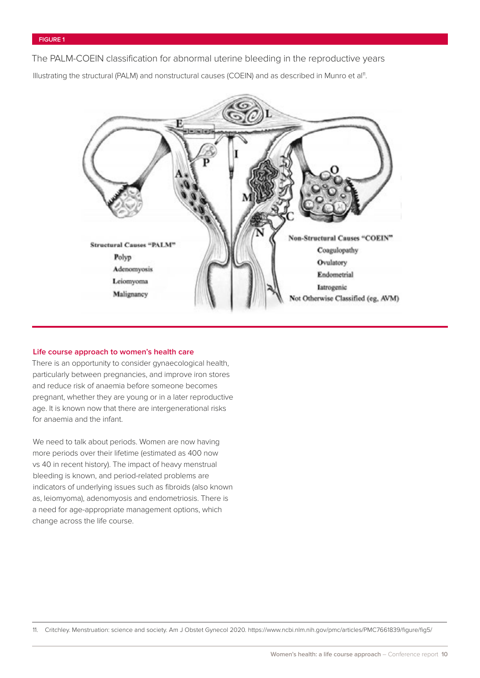The PALM-COEIN classification for abnormal uterine bleeding in the reproductive years

Illustrating the structural (PALM) and nonstructural causes (COEIN) and as described in Munro et al<sup>11</sup>.



#### **Life course approach to women's health care**

There is an opportunity to consider gynaecological health, particularly between pregnancies, and improve iron stores and reduce risk of anaemia before someone becomes pregnant, whether they are young or in a later reproductive age. It is known now that there are intergenerational risks for anaemia and the infant.

We need to talk about periods. Women are now having more periods over their lifetime (estimated as 400 now vs 40 in recent history). The impact of heavy menstrual bleeding is known, and period-related problems are indicators of underlying issues such as fibroids (also known as, leiomyoma), adenomyosis and endometriosis. There is a need for age-appropriate management options, which change across the life course.

11. Critchley. Menstruation: science and society. Am J Obstet Gynecol 2020. https://www.ncbi.nlm.nih.gov/pmc/articles/PMC7661839/figure/fig5/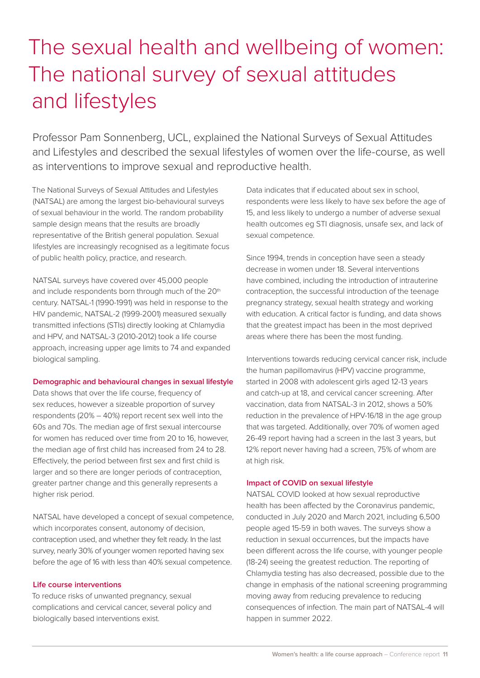# The sexual health and wellbeing of women: The national survey of sexual attitudes and lifestyles

Professor Pam Sonnenberg, UCL, explained the National Surveys of Sexual Attitudes and Lifestyles and described the sexual lifestyles of women over the life-course, as well as interventions to improve sexual and reproductive health.

The National Surveys of Sexual Attitudes and Lifestyles (NATSAL) are among the largest bio-behavioural surveys of sexual behaviour in the world. The random probability sample design means that the results are broadly representative of the British general population. Sexual lifestyles are increasingly recognised as a legitimate focus of public health policy, practice, and research.

NATSAL surveys have covered over 45,000 people and include respondents born through much of the 20<sup>th</sup> century. NATSAL-1 (1990-1991) was held in response to the HIV pandemic, NATSAL-2 (1999-2001) measured sexually transmitted infections (STIs) directly looking at Chlamydia and HPV, and NATSAL-3 (2010-2012) took a life course approach, increasing upper age limits to 74 and expanded biological sampling.

#### **Demographic and behavioural changes in sexual lifestyle**

Data shows that over the life course, frequency of sex reduces, however a sizeable proportion of survey respondents (20% – 40%) report recent sex well into the 60s and 70s. The median age of first sexual intercourse for women has reduced over time from 20 to 16, however, the median age of first child has increased from 24 to 28. Effectively, the period between first sex and first child is larger and so there are longer periods of contraception, greater partner change and this generally represents a higher risk period.

NATSAL have developed a concept of sexual competence, which incorporates consent, autonomy of decision, contraception used, and whether they felt ready. In the last survey, nearly 30% of younger women reported having sex before the age of 16 with less than 40% sexual competence.

#### **Life course interventions**

To reduce risks of unwanted pregnancy, sexual complications and cervical cancer, several policy and biologically based interventions exist.

Data indicates that if educated about sex in school, respondents were less likely to have sex before the age of 15, and less likely to undergo a number of adverse sexual health outcomes eg STI diagnosis, unsafe sex, and lack of sexual competence.

Since 1994, trends in conception have seen a steady decrease in women under 18. Several interventions have combined, including the introduction of intrauterine contraception, the successful introduction of the teenage pregnancy strategy, sexual health strategy and working with education. A critical factor is funding, and data shows that the greatest impact has been in the most deprived areas where there has been the most funding.

Interventions towards reducing cervical cancer risk, include the human papillomavirus (HPV) vaccine programme, started in 2008 with adolescent girls aged 12-13 years and catch-up at 18, and cervical cancer screening. After vaccination, data from NATSAL-3 in 2012, shows a 50% reduction in the prevalence of HPV-16/18 in the age group that was targeted. Additionally, over 70% of women aged 26-49 report having had a screen in the last 3 years, but 12% report never having had a screen, 75% of whom are at high risk.

#### **Impact of COVID on sexual lifestyle**

NATSAL COVID looked at how sexual reproductive health has been affected by the Coronavirus pandemic, conducted in July 2020 and March 2021, including 6,500 people aged 15-59 in both waves. The surveys show a reduction in sexual occurrences, but the impacts have been different across the life course, with younger people (18-24) seeing the greatest reduction. The reporting of Chlamydia testing has also decreased, possible due to the change in emphasis of the national screening programming moving away from reducing prevalence to reducing consequences of infection. The main part of NATSAL-4 will happen in summer 2022.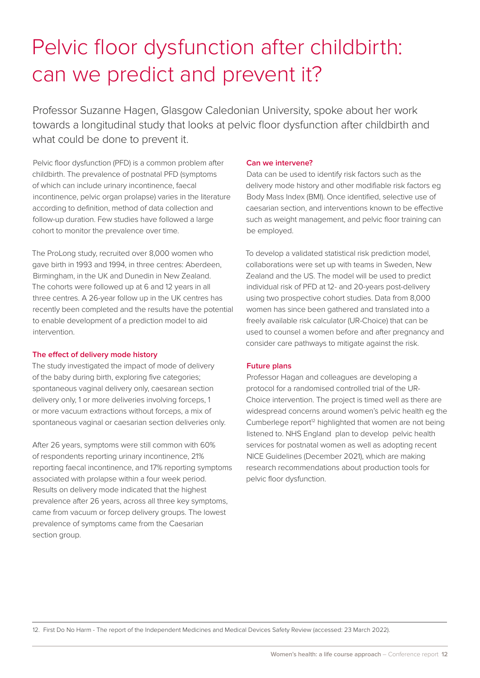# Pelvic floor dysfunction after childbirth: can we predict and prevent it?

Professor Suzanne Hagen, Glasgow Caledonian University, spoke about her work towards a longitudinal study that looks at pelvic floor dysfunction after childbirth and what could be done to prevent it.

Pelvic floor dysfunction (PFD) is a common problem after childbirth. The prevalence of postnatal PFD (symptoms of which can include urinary incontinence, faecal incontinence, pelvic organ prolapse) varies in the literature according to definition, method of data collection and follow-up duration. Few studies have followed a large cohort to monitor the prevalence over time.

The ProLong study, recruited over 8,000 women who gave birth in 1993 and 1994, in three centres: Aberdeen, Birmingham, in the UK and Dunedin in New Zealand. The cohorts were followed up at 6 and 12 years in all three centres. A 26-year follow up in the UK centres has recently been completed and the results have the potential to enable development of a prediction model to aid intervention.

### **The effect of delivery mode history**

The study investigated the impact of mode of delivery of the baby during birth, exploring five categories; spontaneous vaginal delivery only, caesarean section delivery only, 1 or more deliveries involving forceps, 1 or more vacuum extractions without forceps, a mix of spontaneous vaginal or caesarian section deliveries only.

After 26 years, symptoms were still common with 60% of respondents reporting urinary incontinence, 21% reporting faecal incontinence, and 17% reporting symptoms associated with prolapse within a four week period. Results on delivery mode indicated that the highest prevalence after 26 years, across all three key symptoms, came from vacuum or forcep delivery groups. The lowest prevalence of symptoms came from the Caesarian section group.

### **Can we intervene?**

Data can be used to identify risk factors such as the delivery mode history and other modifiable risk factors eg Body Mass Index (BMI). Once identified, selective use of caesarian section, and interventions known to be effective such as weight management, and pelvic floor training can be employed.

To develop a validated statistical risk prediction model, collaborations were set up with teams in Sweden, New Zealand and the US. The model will be used to predict individual risk of PFD at 12- and 20-years post-delivery using two prospective cohort studies. Data from 8,000 women has since been gathered and translated into a freely available risk calculator (UR-Choice) that can be used to counsel a women before and after pregnancy and consider care pathways to mitigate against the risk.

### **Future plans**

Professor Hagan and colleagues are developing a protocol for a randomised controlled trial of the UR-Choice intervention. The project is timed well as there are widespread concerns around women's pelvic health eg the Cumberlege report<sup> $12$ </sup> highlighted that women are not being listened to. NHS England plan to develop pelvic health services for postnatal women as well as adopting recent NICE Guidelines (December 2021), which are making research recommendations about production tools for pelvic floor dysfunction.

12. First Do No Harm - The report of the Independent Medicines and Medical Devices Safety Review (accessed: 23 March 2022).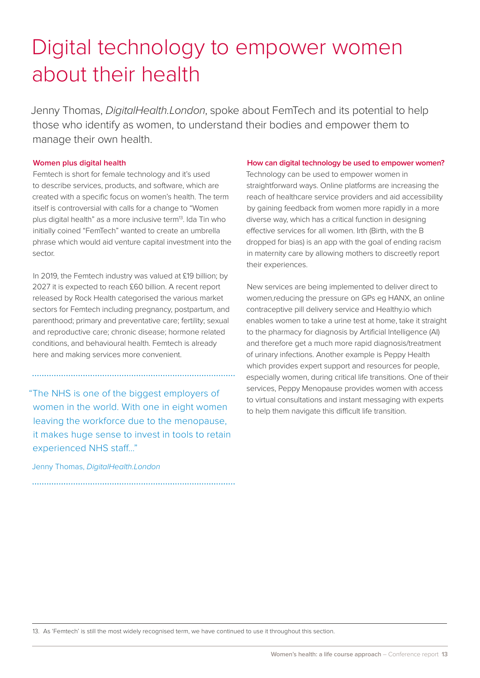### Digital technology to empower women about their health

Jenny Thomas, *DigitalHealth.London*, spoke about FemTech and its potential to help those who identify as women, to understand their bodies and empower them to manage their own health.

### **Women plus digital health**

Femtech is short for female technology and it's used to describe services, products, and software, which are created with a specific focus on women's health. The term itself is controversial with calls for a change to "Women plus digital health" as a more inclusive term<sup>13</sup>. Ida Tin who initially coined "FemTech" wanted to create an umbrella phrase which would aid venture capital investment into the sector.

In 2019, the Femtech industry was valued at £19 billion; by 2027 it is expected to reach £60 billion. A recent report released by Rock Health categorised the various market sectors for Femtech including pregnancy, postpartum, and parenthood; primary and preventative care; fertility; sexual and reproductive care; chronic disease; hormone related conditions, and behavioural health. Femtech is already here and making services more convenient.

"The NHS is one of the biggest employers of women in the world. With one in eight women leaving the workforce due to the menopause, it makes huge sense to invest in tools to retain experienced NHS staff…"

Jenny Thomas, *DigitalHealth.London*

### **How can digital technology be used to empower women?**

Technology can be used to empower women in straightforward ways. Online platforms are increasing the reach of healthcare service providers and aid accessibility by gaining feedback from women more rapidly in a more diverse way, which has a critical function in designing effective services for all women. Irth (Birth, with the B dropped for bias) is an app with the goal of ending racism in maternity care by allowing mothers to discreetly report their experiences.

New services are being implemented to deliver direct to women,reducing the pressure on GPs eg HANX, an online contraceptive pill delivery service and Healthy.io which enables women to take a urine test at home, take it straight to the pharmacy for diagnosis by Artificial Intelligence (AI) and therefore get a much more rapid diagnosis/treatment of urinary infections. Another example is Peppy Health which provides expert support and resources for people, especially women, during critical life transitions. One of their services, Peppy Menopause provides women with access to virtual consultations and instant messaging with experts to help them navigate this difficult life transition.

13. As 'Femtech' is still the most widely recognised term, we have continued to use it throughout this section.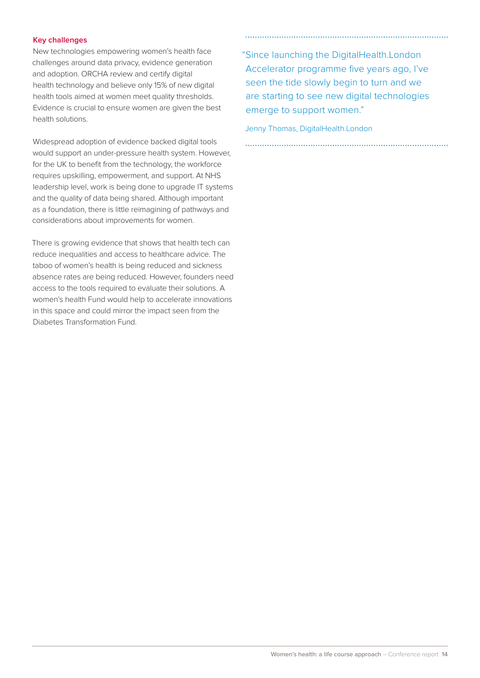### **Key challenges**

New technologies empowering women's health face challenges around data privacy, evidence generation and adoption. ORCHA review and certify digital health technology and believe only 15% of new digital health tools aimed at women meet quality thresholds. Evidence is crucial to ensure women are given the best health solutions.

Widespread adoption of evidence backed digital tools would support an under-pressure health system. However, for the UK to benefit from the technology, the workforce requires upskilling, empowerment, and support. At NHS leadership level, work is being done to upgrade IT systems and the quality of data being shared. Although important as a foundation, there is little reimagining of pathways and considerations about improvements for women.

There is growing evidence that shows that health tech can reduce inequalities and access to healthcare advice. The taboo of women's health is being reduced and sickness absence rates are being reduced. However, founders need access to the tools required to evaluate their solutions. A women's health Fund would help to accelerate innovations in this space and could mirror the impact seen from the Diabetes Transformation Fund.

"Since launching the DigitalHealth.London Accelerator programme five years ago, I've seen the tide slowly begin to turn and we are starting to see new digital technologies emerge to support women."

Jenny Thomas, DigitalHealth.London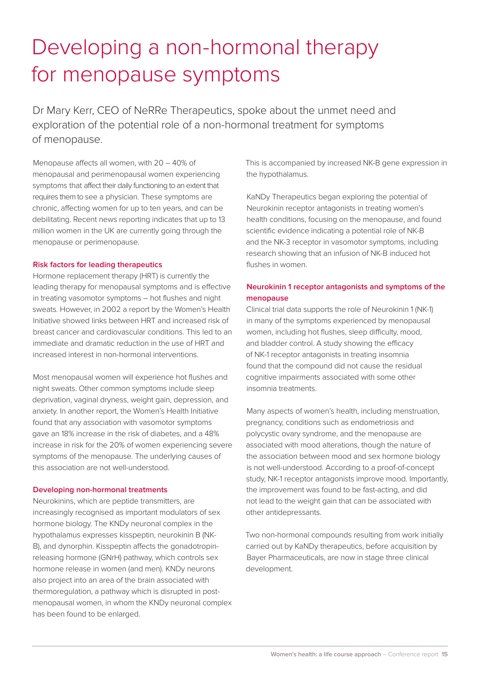# Developing a non-hormonal therapy for menopause symptoms

Dr Mary Kerr, CEO of NeRRe Therapeutics, spoke about the unmet need and exploration of the potential role of a non-hormonal treatment for symptoms of menopause.

Menopause affects all women, with 20 – 40% of menopausal and perimenopausal women experiencing symptoms that affect their daily functioning to an extent that requires them to see a physician. These symptoms are chronic, affecting women for up to ten years, and can be debilitating. Recent news reporting indicates that up to 13 million women in the UK are currently going through the menopause or perimenopause.

#### **Risk factors for leading therapeutics**

Hormone replacement therapy (HRT) is currently the leading therapy for menopausal symptoms and is effective in treating vasomotor symptoms – hot flushes and night sweats. However, in 2002 a report by the Women's Health Initiative showed links between HRT and increased risk of breast cancer and cardiovascular conditions. This led to an immediate and dramatic reduction in the use of HRT and increased interest in non-hormonal interventions.

Most menopausal women will experience hot flushes and night sweats. Other common symptoms include sleep deprivation, vaginal dryness, weight gain, depression, and anxiety. In another report, the Women's Health Initiative found that any association with vasomotor symptoms gave an 18% increase in the risk of diabetes, and a 48% increase in risk for the 20% of women experiencing severe symptoms of the menopause. The underlying causes of this association are not well-understood.

#### **Developing non-hormonal treatments**

Neurokinins, which are peptide transmitters, are increasingly recognised as important modulators of sex hormone biology. The KNDy neuronal complex in the hypothalamus expresses kisspeptin, neurokinin B (NK-B), and dynorphin. Kisspeptin affects the gonadotropinreleasing hormone (GNrH) pathway, which controls sex hormone release in women (and men). KNDy neurons also project into an area of the brain associated with thermoregulation, a pathway which is disrupted in postmenopausal women, in whom the KNDy neuronal complex has been found to be enlarged.

This is accompanied by increased NK-B gene expression in the hypothalamus.

KaNDy Therapeutics began exploring the potential of Neurokinin receptor antagonists in treating women's health conditions, focusing on the menopause, and found scientific evidence indicating a potential role of NK-B and the NK-3 receptor in vasomotor symptoms, including research showing that an infusion of NK-B induced hot flushes in women.

### **Neurokinin 1 receptor antagonists and symptoms of the menopause**

Clinical trial data supports the role of Neurokinin 1 (NK-1) in many of the symptoms experienced by menopausal women, including hot flushes, sleep difficulty, mood, and bladder control. A study showing the efficacy of NK-1 receptor antagonists in treating insomnia found that the compound did not cause the residual cognitive impairments associated with some other insomnia treatments.

Many aspects of women's health, including menstruation, pregnancy, conditions such as endometriosis and polycystic ovary syndrome, and the menopause are associated with mood alterations, though the nature of the association between mood and sex hormone biology is not well-understood. According to a proof-of-concept study, NK-1 receptor antagonists improve mood. Importantly, the improvement was found to be fast-acting, and did not lead to the weight gain that can be associated with other antidepressants.

Two non-hormonal compounds resulting from work initially carried out by KaNDy therapeutics, before acquisition by Bayer Pharmaceuticals, are now in stage three clinical development.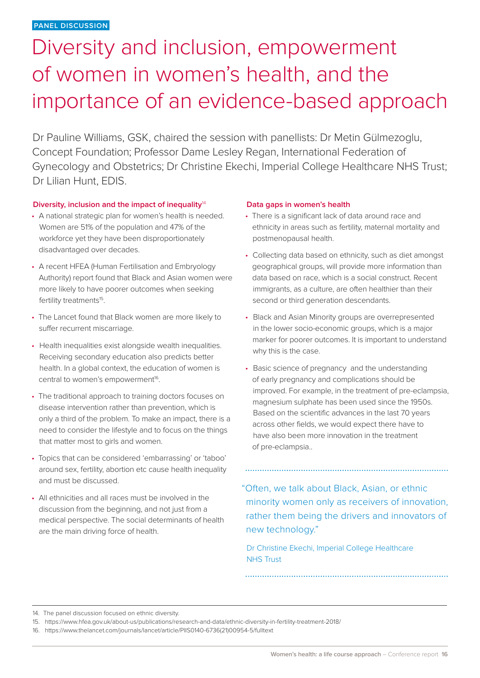# Diversity and inclusion, empowerment of women in women's health, and the importance of an evidence-based approach

Dr Pauline Williams, GSK, chaired the session with panellists: Dr Metin Gülmezoglu, Concept Foundation; Professor Dame Lesley Regan, International Federation of Gynecology and Obstetrics; Dr Christine Ekechi, Imperial College Healthcare NHS Trust; Dr Lilian Hunt, EDIS.

### **Diversity, inclusion and the impact of inequality**<sup>14</sup>

- A national strategic plan for women's health is needed. Women are 51% of the population and 47% of the workforce yet they have been disproportionately disadvantaged over decades.
- A recent HFEA (Human Fertilisation and Embryology Authority) report found that Black and Asian women were more likely to have poorer outcomes when seeking fertility treatments<sup>15</sup>.
- The Lancet found that Black women are more likely to suffer recurrent miscarriage.
- Health inequalities exist alongside wealth inequalities. Receiving secondary education also predicts better health. In a global context, the education of women is central to women's empowerment<sup>16</sup>.
- The traditional approach to training doctors focuses on disease intervention rather than prevention, which is only a third of the problem. To make an impact, there is a need to consider the lifestyle and to focus on the things that matter most to girls and women.
- Topics that can be considered 'embarrassing' or 'taboo' around sex, fertility, abortion etc cause health inequality and must be discussed.
- All ethnicities and all races must be involved in the discussion from the beginning, and not just from a medical perspective. The social determinants of health are the main driving force of health.

### **Data gaps in women's health**

- There is a significant lack of data around race and ethnicity in areas such as fertility, maternal mortality and postmenopausal health.
- Collecting data based on ethnicity, such as diet amongst geographical groups, will provide more information than data based on race, which is a social construct. Recent immigrants, as a culture, are often healthier than their second or third generation descendants.
- Black and Asian Minority groups are overrepresented in the lower socio-economic groups, which is a major marker for poorer outcomes. It is important to understand why this is the case.
- Basic science of pregnancy and the understanding of early pregnancy and complications should be improved. For example, in the treatment of pre-eclampsia, magnesium sulphate has been used since the 1950s. Based on the scientific advances in the last 70 years across other fields, we would expect there have to have also been more innovation in the treatment of pre-eclampsia..

"Often, we talk about Black, Asian, or ethnic minority women only as receivers of innovation, rather them being the drivers and innovators of new technology."

Dr Christine Ekechi, Imperial College Healthcare NHS Trust

14. The panel discussion focused on ethnic diversity.

<sup>15.</sup> <https://www.hfea.gov.uk/about-us/publications/research-and-data/ethnic-diversity-in-fertility-treatment-2018/>

<sup>16.</sup> [https://www.thelancet.com/journals/lancet/article/PIIS0140-6736\(21\)00954-5/fulltext](https://www.thelancet.com/journals/lancet/article/PIIS0140-6736(21)00954-5/fulltext)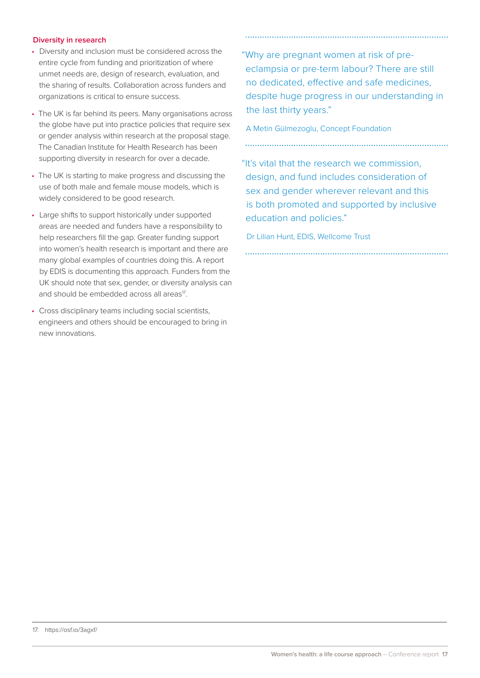### **Diversity in research**

- Diversity and inclusion must be considered across the entire cycle from funding and prioritization of where unmet needs are, design of research, evaluation, and the sharing of results. Collaboration across funders and organizations is critical to ensure success.
- The UK is far behind its peers. Many organisations across the globe have put into practice policies that require sex or gender analysis within research at the proposal stage. The Canadian Institute for Health Research has been supporting diversity in research for over a decade.
- The UK is starting to make progress and discussing the use of both male and female mouse models, which is widely considered to be good research.
- Large shifts to support historically under supported areas are needed and funders have a responsibility to help researchers fill the gap. Greater funding support into women's health research is important and there are many global examples of countries doing this. A report by EDIS is documenting this approach. Funders from the UK should note that sex, gender, or diversity analysis can and should be embedded across all areas<sup>17</sup>.
- Cross disciplinary teams including social scientists, engineers and others should be encouraged to bring in new innovations.

"Why are pregnant women at risk of preeclampsia or pre-term labour? There are still no dedicated, effective and safe medicines, despite huge progress in our understanding in the last thirty years."

A Metin Gülmezoglu, Concept Foundation

"It's vital that the research we commission, design, and fund includes consideration of sex and gender wherever relevant and this is both promoted and supported by inclusive education and policies."

Dr Lilian Hunt, EDIS, Wellcome Trust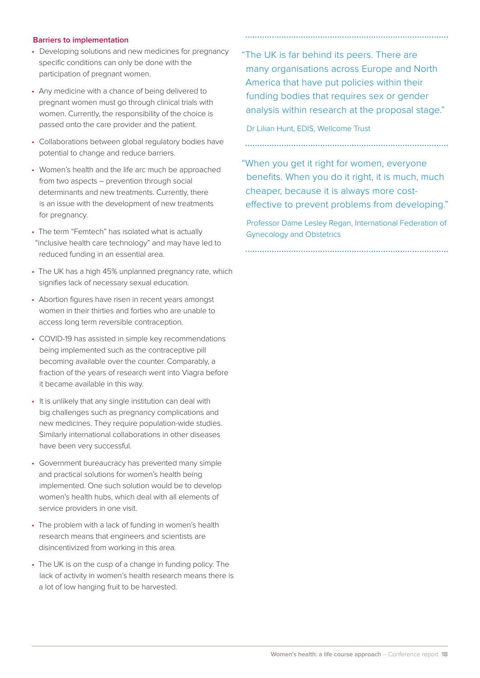### **Barriers to implementation**

- Developing solutions and new medicines for pregnancy specific conditions can only be done with the participation of pregnant women.
- Any medicine with a chance of being delivered to pregnant women must go through clinical trials with women. Currently, the responsibility of the choice is passed onto the care provider and the patient.
- Collaborations between global regulatory bodies have potential to change and reduce barriers.
- Women's health and the life arc much be approached from two aspects – prevention through social determinants and new treatments. Currently, there is an issue with the development of new treatments for pregnancy.
- The term "Femtech" has isolated what is actually "inclusive health care technology" and may have led to reduced funding in an essential area.
- The UK has a high 45% unplanned pregnancy rate, which signifies lack of necessary sexual education.
- Abortion figures have risen in recent years amongst women in their thirties and forties who are unable to access long term reversible contraception.
- COVID-19 has assisted in simple key recommendations being implemented such as the contraceptive pill becoming available over the counter. Comparably, a fraction of the years of research went into Viagra before it became available in this way.
- It is unlikely that any single institution can deal with big challenges such as pregnancy complications and new medicines. They require population-wide studies. Similarly international collaborations in other diseases have been very successful.
- Government bureaucracy has prevented many simple and practical solutions for women's health being implemented. One such solution would be to develop women's health hubs, which deal with all elements of service providers in one visit.
- The problem with a lack of funding in women's health research means that engineers and scientists are disincentivized from working in this area.
- The UK is on the cusp of a change in funding policy. The lack of activity in women's health research means there is a lot of low hanging fruit to be harvested.

"The UK is far behind its peers. There are many organisations across Europe and North America that have put policies within their funding bodies that requires sex or gender analysis within research at the proposal stage."

Dr Lilian Hunt, EDIS, Wellcome Trust

"When you get it right for women, everyone benefits. When you do it right, it is much, much cheaper, because it is always more costeffective to prevent problems from developing."

Professor Dame Lesley Regan, International Federation of Gynecology and Obstetrics